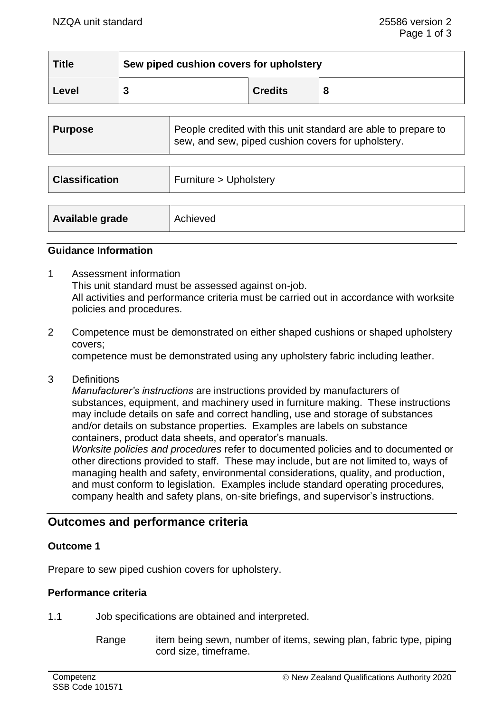| <b>Title</b> | Sew piped cushion covers for upholstery |                |   |  |
|--------------|-----------------------------------------|----------------|---|--|
| Level        |                                         | <b>Credits</b> | 8 |  |

| <b>Purpose</b>        | People credited with this unit standard are able to prepare to<br>sew, and sew, piped cushion covers for upholstery. |
|-----------------------|----------------------------------------------------------------------------------------------------------------------|
|                       |                                                                                                                      |
| <b>Classification</b> | Furniture > Upholstery                                                                                               |
|                       |                                                                                                                      |
| Available grade       | Achieved                                                                                                             |

#### **Guidance Information**

- 1 Assessment information This unit standard must be assessed against on-job. All activities and performance criteria must be carried out in accordance with worksite policies and procedures.
- 2 Competence must be demonstrated on either shaped cushions or shaped upholstery covers;

competence must be demonstrated using any upholstery fabric including leather.

3 Definitions

*Manufacturer's instructions* are instructions provided by manufacturers of substances, equipment, and machinery used in furniture making. These instructions may include details on safe and correct handling, use and storage of substances and/or details on substance properties. Examples are labels on substance containers, product data sheets, and operator's manuals.

*Worksite policies and procedures* refer to documented policies and to documented or other directions provided to staff. These may include, but are not limited to, ways of managing health and safety, environmental considerations, quality, and production, and must conform to legislation. Examples include standard operating procedures, company health and safety plans, on-site briefings, and supervisor's instructions.

## **Outcomes and performance criteria**

## **Outcome 1**

Prepare to sew piped cushion covers for upholstery.

## **Performance criteria**

1.1 Job specifications are obtained and interpreted.

Range item being sewn, number of items, sewing plan, fabric type, piping cord size, timeframe.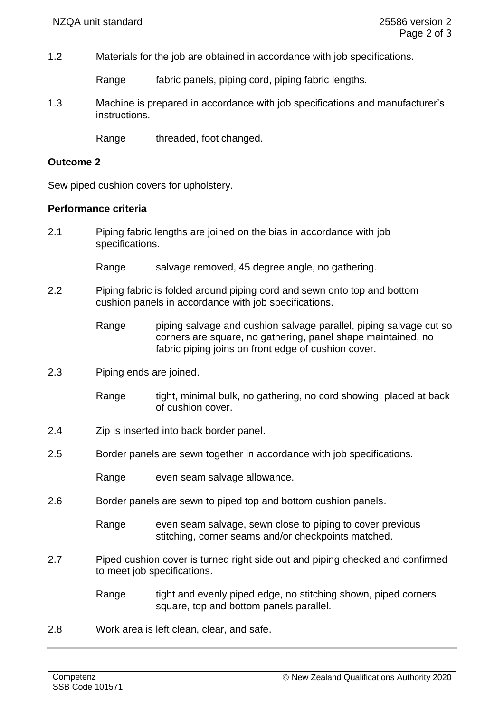1.2 Materials for the job are obtained in accordance with job specifications.

Range fabric panels, piping cord, piping fabric lengths.

1.3 Machine is prepared in accordance with job specifications and manufacturer's instructions.

Range threaded, foot changed.

#### **Outcome 2**

Sew piped cushion covers for upholstery.

## **Performance criteria**

- 2.1 Piping fabric lengths are joined on the bias in accordance with job specifications.
	- Range salvage removed, 45 degree angle, no gathering.
- 2.2 Piping fabric is folded around piping cord and sewn onto top and bottom cushion panels in accordance with job specifications.

Range piping salvage and cushion salvage parallel, piping salvage cut so corners are square, no gathering, panel shape maintained, no fabric piping joins on front edge of cushion cover.

2.3 Piping ends are joined.

Range tight, minimal bulk, no gathering, no cord showing, placed at back of cushion cover.

- 2.4 Zip is inserted into back border panel.
- 2.5 Border panels are sewn together in accordance with job specifications.

Range even seam salvage allowance.

2.6 Border panels are sewn to piped top and bottom cushion panels.

Range even seam salvage, sewn close to piping to cover previous stitching, corner seams and/or checkpoints matched.

2.7 Piped cushion cover is turned right side out and piping checked and confirmed to meet job specifications.

> Range tight and evenly piped edge, no stitching shown, piped corners square, top and bottom panels parallel.

2.8 Work area is left clean, clear, and safe.